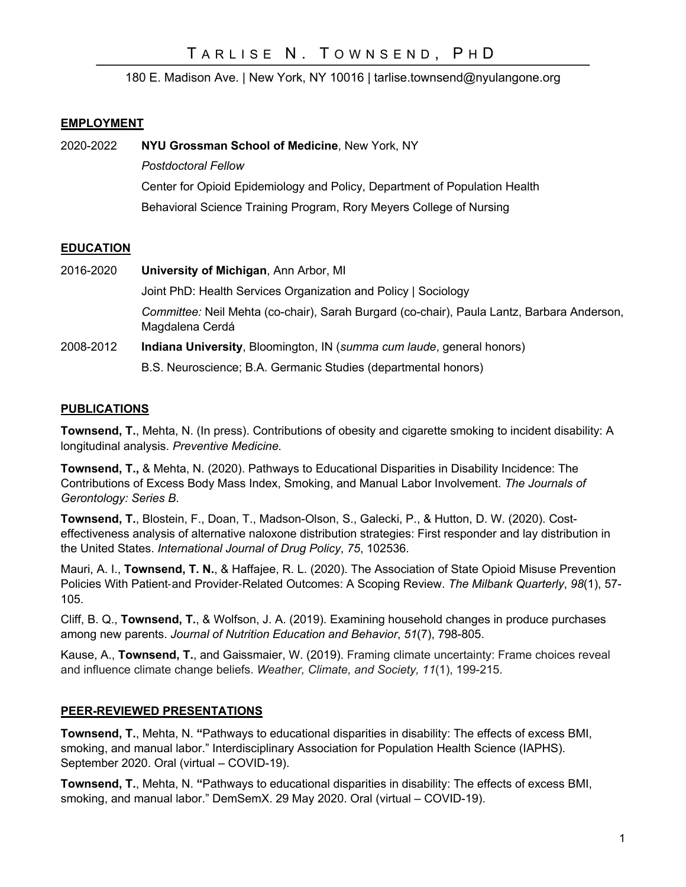180 E. Madison Ave. | New York, NY 10016 | tarlise.townsend@nyulangone.org

### **EMPLOYMENT**

2020-2022 **NYU Grossman School of Medicine**, New York, NY *Postdoctoral Fellow* Center for Opioid Epidemiology and Policy, Department of Population Health Behavioral Science Training Program, Rory Meyers College of Nursing

## **EDUCATION**

2016-2020 **University of Michigan**, Ann Arbor, MI Joint PhD: Health Services Organization and Policy | Sociology *Committee:* Neil Mehta (co-chair), Sarah Burgard (co-chair), Paula Lantz, Barbara Anderson, Magdalena Cerdá 2008-2012 **Indiana University**, Bloomington, IN (*summa cum laude*, general honors) B.S. Neuroscience; B.A. Germanic Studies (departmental honors)

### **PUBLICATIONS**

**Townsend, T.**, Mehta, N. (In press). Contributions of obesity and cigarette smoking to incident disability: A longitudinal analysis. *Preventive Medicine.*

**Townsend, T.,** & Mehta, N. (2020). Pathways to Educational Disparities in Disability Incidence: The Contributions of Excess Body Mass Index, Smoking, and Manual Labor Involvement. *The Journals of Gerontology: Series B*.

**Townsend, T.**, Blostein, F., Doan, T., Madson-Olson, S., Galecki, P., & Hutton, D. W. (2020). Costeffectiveness analysis of alternative naloxone distribution strategies: First responder and lay distribution in the United States. *International Journal of Drug Policy*, *75*, 102536.

Mauri, A. I., **Townsend, T. N.**, & Haffajee, R. L. (2020). The Association of State Opioid Misuse Prevention Policies With Patient-and Provider-Related Outcomes: A Scoping Review. *The Milbank Quarterly*, *98*(1), 57- 105.

Cliff, B. Q., **Townsend, T.**, & Wolfson, J. A. (2019). Examining household changes in produce purchases among new parents. *Journal of Nutrition Education and Behavior*, *51*(7), 798-805.

Kause, A., **Townsend, T.**, and Gaissmaier, W. (2019). Framing climate uncertainty: Frame choices reveal and influence climate change beliefs. *Weather, Climate, and Society, 11*(1), 199-215.

### **PEER-REVIEWED PRESENTATIONS**

**Townsend, T.**, Mehta, N. **"**Pathways to educational disparities in disability: The effects of excess BMI, smoking, and manual labor." Interdisciplinary Association for Population Health Science (IAPHS). September 2020. Oral (virtual – COVID-19).

**Townsend, T.**, Mehta, N. **"**Pathways to educational disparities in disability: The effects of excess BMI, smoking, and manual labor." DemSemX. 29 May 2020. Oral (virtual – COVID-19).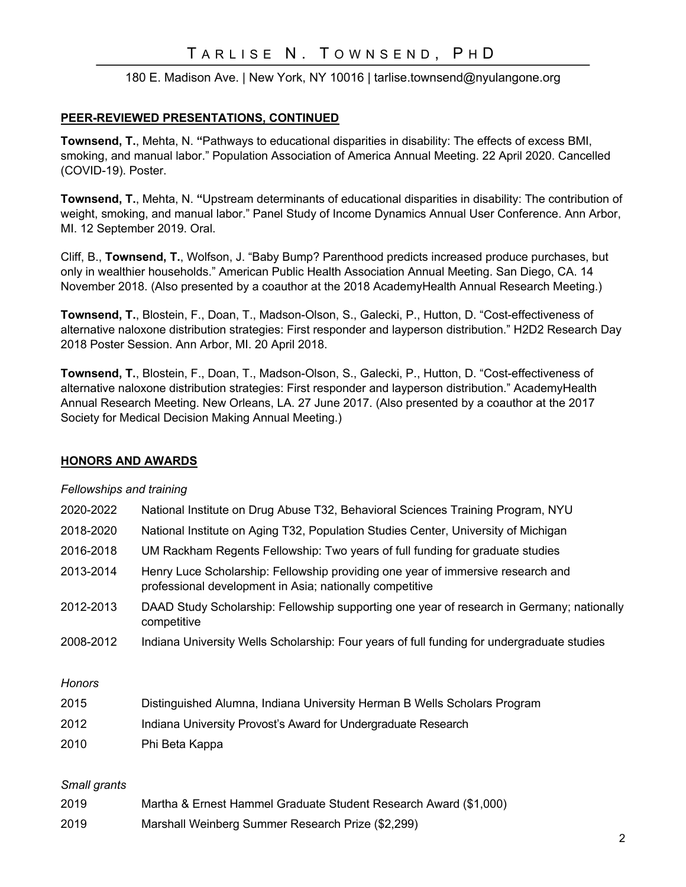# TARLISE N. TOWNSEND, PHD

### 180 E. Madison Ave. | New York, NY 10016 | tarlise.townsend@nyulangone.org

### **PEER-REVIEWED PRESENTATIONS, CONTINUED**

**Townsend, T.**, Mehta, N. **"**Pathways to educational disparities in disability: The effects of excess BMI, smoking, and manual labor." Population Association of America Annual Meeting. 22 April 2020. Cancelled (COVID-19). Poster.

**Townsend, T.**, Mehta, N. **"**Upstream determinants of educational disparities in disability: The contribution of weight, smoking, and manual labor." Panel Study of Income Dynamics Annual User Conference. Ann Arbor, MI. 12 September 2019. Oral.

Cliff, B., **Townsend, T.**, Wolfson, J. "Baby Bump? Parenthood predicts increased produce purchases, but only in wealthier households." American Public Health Association Annual Meeting. San Diego, CA. 14 November 2018. (Also presented by a coauthor at the 2018 AcademyHealth Annual Research Meeting.)

**Townsend, T.**, Blostein, F., Doan, T., Madson-Olson, S., Galecki, P., Hutton, D. "Cost-effectiveness of alternative naloxone distribution strategies: First responder and layperson distribution." H2D2 Research Day 2018 Poster Session. Ann Arbor, MI. 20 April 2018.

**Townsend, T.**, Blostein, F., Doan, T., Madson-Olson, S., Galecki, P., Hutton, D. "Cost-effectiveness of alternative naloxone distribution strategies: First responder and layperson distribution." AcademyHealth Annual Research Meeting. New Orleans, LA. 27 June 2017. (Also presented by a coauthor at the 2017 Society for Medical Decision Making Annual Meeting.)

#### **HONORS AND AWARDS**

#### *Fellowships and training*

| 2020-2022    | National Institute on Drug Abuse T32, Behavioral Sciences Training Program, NYU                                                             |
|--------------|---------------------------------------------------------------------------------------------------------------------------------------------|
| 2018-2020    | National Institute on Aging T32, Population Studies Center, University of Michigan                                                          |
| 2016-2018    | UM Rackham Regents Fellowship: Two years of full funding for graduate studies                                                               |
| 2013-2014    | Henry Luce Scholarship: Fellowship providing one year of immersive research and<br>professional development in Asia; nationally competitive |
| 2012-2013    | DAAD Study Scholarship: Fellowship supporting one year of research in Germany; nationally<br>competitive                                    |
| 2008-2012    | Indiana University Wells Scholarship: Four years of full funding for undergraduate studies                                                  |
| Honors       |                                                                                                                                             |
| 2015         | Distinguished Alumna, Indiana University Herman B Wells Scholars Program                                                                    |
| 2012         | Indiana University Provost's Award for Undergraduate Research                                                                               |
| 2010         | Phi Beta Kappa                                                                                                                              |
| Small grants |                                                                                                                                             |

| 2019 | Martha & Ernest Hammel Graduate Student Research Award (\$1,000) |
|------|------------------------------------------------------------------|
| 2019 | Marshall Weinberg Summer Research Prize (\$2,299)                |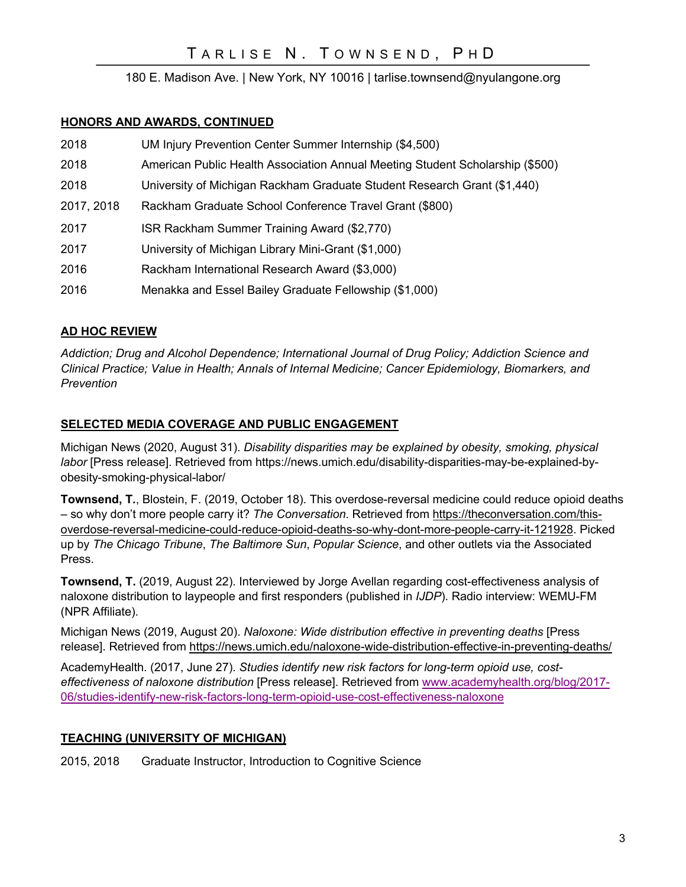180 E. Madison Ave. | New York, NY 10016 | tarlise.townsend@nyulangone.org

### **HONORS AND AWARDS, CONTINUED**

- 2018 UM Injury Prevention Center Summer Internship (\$4,500)
- 2018 American Public Health Association Annual Meeting Student Scholarship (\$500)
- 2018 University of Michigan Rackham Graduate Student Research Grant (\$1,440)
- 2017, 2018 Rackham Graduate School Conference Travel Grant (\$800)
- 2017 ISR Rackham Summer Training Award (\$2,770)
- 2017 University of Michigan Library Mini-Grant (\$1,000)
- 2016 Rackham International Research Award (\$3,000)
- 2016 Menakka and Essel Bailey Graduate Fellowship (\$1,000)

## **AD HOC REVIEW**

*Addiction; Drug and Alcohol Dependence; International Journal of Drug Policy; Addiction Science and Clinical Practice; Value in Health; Annals of Internal Medicine; Cancer Epidemiology, Biomarkers, and Prevention*

## **SELECTED MEDIA COVERAGE AND PUBLIC ENGAGEMENT**

Michigan News (2020, August 31). *Disability disparities may be explained by obesity, smoking, physical labor* [Press release]. Retrieved from https://news.umich.edu/disability-disparities-may-be-explained-byobesity-smoking-physical-labor/

**Townsend, T.**, Blostein, F. (2019, October 18). This overdose-reversal medicine could reduce opioid deaths – so why don't more people carry it? *The Conversation*. Retrieved from https://theconversation.com/thisoverdose-reversal-medicine-could-reduce-opioid-deaths-so-why-dont-more-people-carry-it-121928. Picked up by *The Chicago Tribune*, *The Baltimore Sun*, *Popular Science*, and other outlets via the Associated Press.

**Townsend, T.** (2019, August 22). Interviewed by Jorge Avellan regarding cost-effectiveness analysis of naloxone distribution to laypeople and first responders (published in *IJDP*). Radio interview: WEMU-FM (NPR Affiliate).

Michigan News (2019, August 20). *Naloxone: Wide distribution effective in preventing deaths* [Press release]. Retrieved from https://news.umich.edu/naloxone-wide-distribution-effective-in-preventing-deaths/

AcademyHealth. (2017, June 27). *Studies identify new risk factors for long-term opioid use, costeffectiveness of naloxone distribution* [Press release]. Retrieved from www.academyhealth.org/blog/2017- 06/studies-identify-new-risk-factors-long-term-opioid-use-cost-effectiveness-naloxone

# **TEACHING (UNIVERSITY OF MICHIGAN)**

2015, 2018 Graduate Instructor, Introduction to Cognitive Science